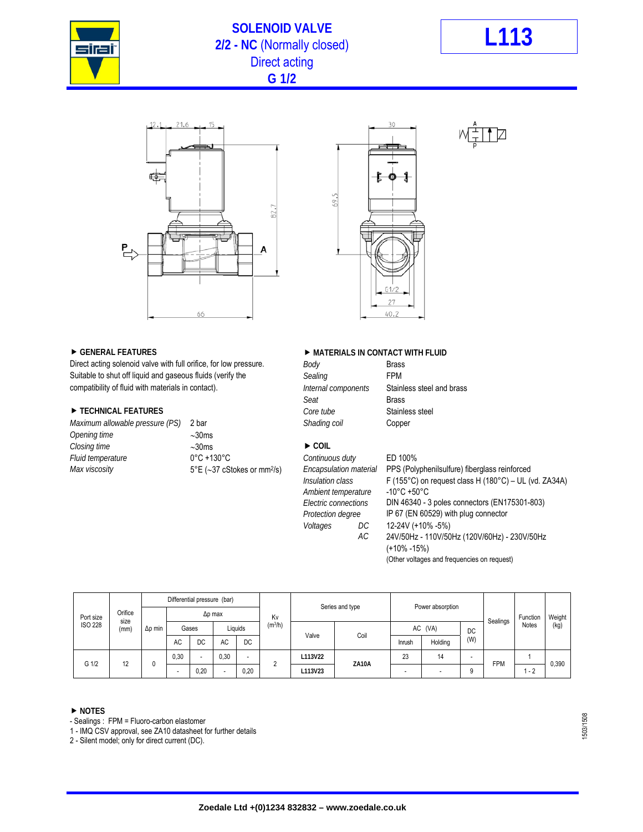

## **SOLENOID VALVE 2/2 - NC** (Normally closed) **L113** Direct acting **G 1/2**







Direct acting solenoid valve with full orifice, for low pressure. *Body* Brass Suitable to shut off liquid and gaseous fluids (verify the *Sealing* Sealing **FPM** compatibility of fluid with materials in contact). *Internal components* Stainless steel and brass

#### ■ TECHNICAL FEATURES *Core tube* Stainless steel

| Maximum allowable pressure (PS) | 2 bar                                            | Shading coil                      | Copper |
|---------------------------------|--------------------------------------------------|-----------------------------------|--------|
| Opening time                    | $\sim$ 30ms                                      |                                   |        |
| Closing time                    | $\sim$ 30ms                                      | $\triangleright$ COIL             |        |
| Fluid temperature               | $0^{\circ}$ C +130 $^{\circ}$ C                  | Continuous duty                   | ED 100 |
| Max viscosity                   | $5^{\circ}E$ (~37 cStokes or mm <sup>2</sup> /s) | Encapsulation material PPS (Post) |        |

#### ▶ GENERAL FEATURES **DESIGNATION IN A MATERIALS IN CONTACT WITH FLUID**

| Direct acting solenoid valve with full orifice, for low pressure. | Body                | <b>Brass</b> |
|-------------------------------------------------------------------|---------------------|--------------|
| Suitable to shut off liquid and gaseous fluids (verify the        | Sealing             | <b>FPM</b>   |
| compatibility of fluid with materials in contact).                | Internal components | Stainle      |
|                                                                   | Seat                | <b>Brass</b> |
| TECHNICAL FEATURES                                                | Core tube           | Stainle      |
| Maximum allowable pressure (PS) 2 bar                             | Shading coil        | Coppe        |
|                                                                   |                     |              |

*Ambient temperature<br>Electric connections* 

# *Fluid temperature* 0°C +130°C *Continuous duty* ED 100%

*Max Encapsulation material* PPS (Polyphenilsulfure) fiberglass reinforced<br> *Insulation class* F (155°C) on request class H (180°C) – UL ( *Insulation class* F (155°C) on request class H (180°C) – UL (vd. ZA34A) *Electric connections* DIN 46340 - 3 poles connectors (EN175301-803) *Protection degree* IP 67 (EN 60529) with plug connector *Voltages DC* 12-24V (+10% -5%)  *AC* 24V/50Hz - 110V/50Hz (120V/60Hz) - 230V/50Hz (+10% -15%) (Other voltages and frequencies on request)

| Orifice<br>Port size<br>size<br><b>ISO 228</b><br>(mm) |    | Differential pressure (bar) |                |       |      |                                |                 |         |                  |         |                          |                          |            |              |       |
|--------------------------------------------------------|----|-----------------------------|----------------|-------|------|--------------------------------|-----------------|---------|------------------|---------|--------------------------|--------------------------|------------|--------------|-------|
|                                                        |    | $\Delta p$ min              | $\Delta p$ max |       |      | Kv                             | Series and type |         | Power absorption |         |                          | Sealings                 | Function   | Weight       |       |
|                                                        |    |                             |                | Gases |      | (m <sup>3</sup> /h)<br>Liquids |                 | Valve   | Coil             | AC (VA) |                          | DC                       |            | <b>Notes</b> | (kg)  |
|                                                        |    |                             | AC             | DC    | AC   | DC                             |                 |         |                  | Inrush  | Holding                  | (W)                      |            |              |       |
| G 1/2                                                  | 12 | 0                           | 0.30           | ۰     | 0,30 | $\overline{\phantom{0}}$       | $\sim$          | L113V22 | <b>ZA10A</b>     | 23      | 14                       | $\overline{\phantom{0}}$ | <b>FPM</b> |              | 0,390 |
|                                                        |    |                             |                | 0,20  |      | 0.20                           |                 | L113V23 |                  |         | $\overline{\phantom{0}}$ | 9                        |            | $-2$         |       |

#### **NOTES**

- Sealings : FPM = Fluoro-carbon elastomer

1 - IMQ CSV approval, see ZA10 datasheet for further details

2 - Silent model; only for direct current (DC).

1503/1508